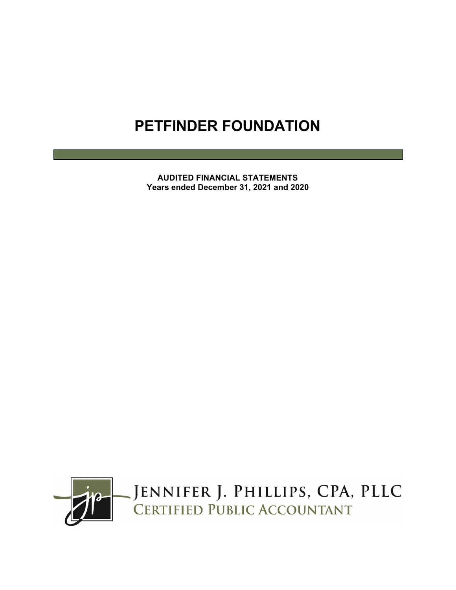**AUDITED FINANCIAL STATEMENTS Years ended December 31, 2021 and 2020**

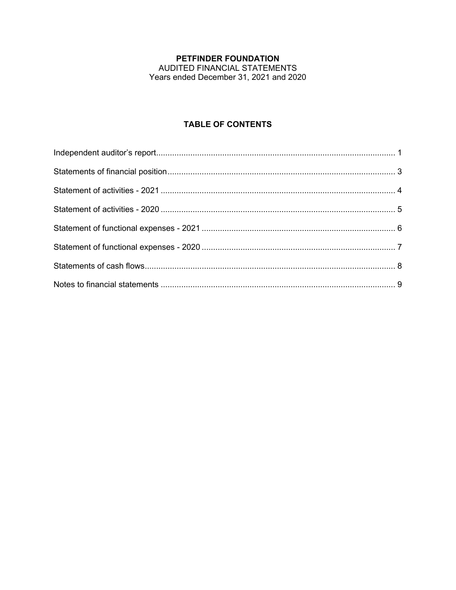AUDITED FINANCIAL STATEMENTS Years ended December 31, 2021 and 2020

## **TABLE OF CONTENTS**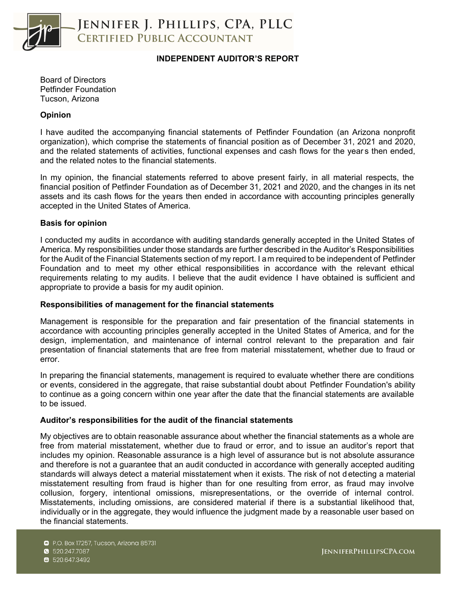

#### **INDEPENDENT AUDITOR'S REPORT**

Board of Directors Petfinder Foundation Tucson, Arizona

#### **Opinion**

I have audited the accompanying financial statements of Petfinder Foundation (an Arizona nonprofit organization), which comprise the statements of financial position as of December 31, 2021 and 2020, and the related statements of activities, functional expenses and cash flows for the year s then ended, and the related notes to the financial statements.

In my opinion, the financial statements referred to above present fairly, in all material respects, the financial position of Petfinder Foundation as of December 31, 2021 and 2020, and the changes in its net assets and its cash flows for the years then ended in accordance with accounting principles generally accepted in the United States of America.

#### **Basis for opinion**

I conducted my audits in accordance with auditing standards generally accepted in the United States of America. My responsibilities under those standards are further described in the Auditor's Responsibilities for the Audit of the Financial Statements section of my report. I am required to be independent of Petfinder Foundation and to meet my other ethical responsibilities in accordance with the relevant ethical requirements relating to my audits. I believe that the audit evidence I have obtained is sufficient and appropriate to provide a basis for my audit opinion.

#### **Responsibilities of management for the financial statements**

Management is responsible for the preparation and fair presentation of the financial statements in accordance with accounting principles generally accepted in the United States of America, and for the design, implementation, and maintenance of internal control relevant to the preparation and fair presentation of financial statements that are free from material misstatement, whether due to fraud or error.

In preparing the financial statements, management is required to evaluate whether there are conditions or events, considered in the aggregate, that raise substantial doubt about Petfinder Foundation's ability to continue as a going concern within one year after the date that the financial statements are available to be issued.

#### **Auditor's responsibilities for the audit of the financial statements**

My objectives are to obtain reasonable assurance about whether the financial statements as a whole are free from material misstatement, whether due to fraud or error, and to issue an auditor's report that includes my opinion. Reasonable assurance is a high level of assurance but is not absolute assurance and therefore is not a guarantee that an audit conducted in accordance with generally accepted auditing standards will always detect a material misstatement when it exists. The risk of not d etecting a material misstatement resulting from fraud is higher than for one resulting from error, as fraud may involve collusion, forgery, intentional omissions, misrepresentations, or the override of internal control. Misstatements, including omissions, are considered material if there is a substantial likelihood that, individually or in the aggregate, they would influence the judgment made by a reasonable user based on the financial statements.

• 520.247.7087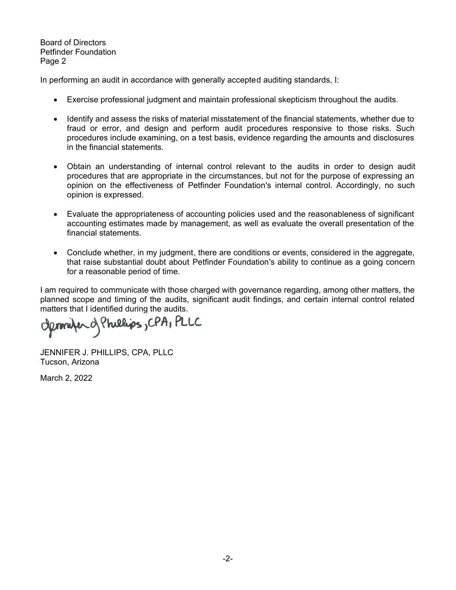Board of Directors Petfinder Foundation Page 2

In performing an audit in accordance with generally accepted auditing standards, I:

- Exercise professional judgment and maintain professional skepticism throughout the audits.
- Identify and assess the risks of material misstatement of the financial statements, whether due to fraud or error, and design and perform audit procedures responsive to those risks. Such procedures include examining, on a test basis, evidence regarding the amounts and disclosures in the financial statements.
- Obtain an understanding of internal control relevant to the audits in order to design audit procedures that are appropriate in the circumstances, but not for the purpose of expressing an opinion on the effectiveness of Petfinder Foundation's internal control. Accordingly, no such opinion is expressed.
- Evaluate the appropriateness of accounting policies used and the reasonableness of significant accounting estimates made by management, as well as evaluate the overall presentation of the financial statements.
- Conclude whether, in my judgment, there are conditions or events, considered in the aggregate, that raise substantial doubt about Petfinder Foundation's ability to continue as a going concern for a reasonable period of time.

I am required to communicate with those charged with governance regarding, among other matters, the planned scope and timing of the audits, significant audit findings, and certain internal control related

matters that I identified during the audits.<br>demonder of Phillips, CPA, PLLC

JENNIFER J. PHILLIPS, CPA, PLLC Tucson, Arizona

March 2, 2022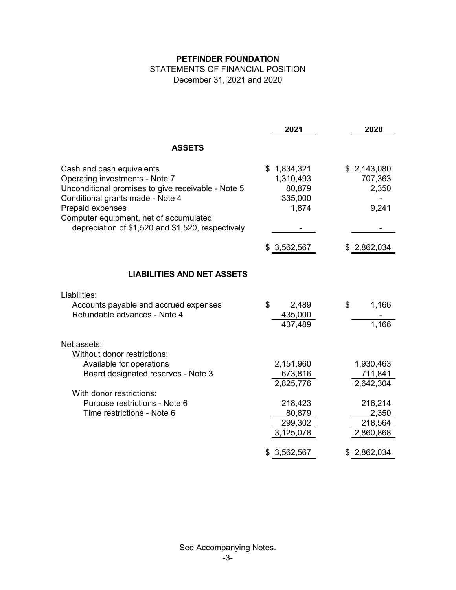## STATEMENTS OF FINANCIAL POSITION

December 31, 2021 and 2020

|                                                                                                                                                                                                                                                                          | 2021                                                                  | 2020                                                    |
|--------------------------------------------------------------------------------------------------------------------------------------------------------------------------------------------------------------------------------------------------------------------------|-----------------------------------------------------------------------|---------------------------------------------------------|
| <b>ASSETS</b>                                                                                                                                                                                                                                                            |                                                                       |                                                         |
| Cash and cash equivalents<br>Operating investments - Note 7<br>Unconditional promises to give receivable - Note 5<br>Conditional grants made - Note 4<br>Prepaid expenses<br>Computer equipment, net of accumulated<br>depreciation of \$1,520 and \$1,520, respectively | \$1,834,321<br>1,310,493<br>80,879<br>335,000<br>1,874<br>\$3,562,567 | \$2,143,080<br>707,363<br>2,350<br>9,241<br>\$2,862,034 |
|                                                                                                                                                                                                                                                                          |                                                                       |                                                         |
| <b>LIABILITIES AND NET ASSETS</b>                                                                                                                                                                                                                                        |                                                                       |                                                         |
| Liabilities:<br>Accounts payable and accrued expenses<br>Refundable advances - Note 4                                                                                                                                                                                    | \$<br>2,489<br>435,000<br>437,489                                     | \$<br>1,166<br>1,166                                    |
| Net assets:                                                                                                                                                                                                                                                              |                                                                       |                                                         |
| Without donor restrictions:<br>Available for operations<br>Board designated reserves - Note 3                                                                                                                                                                            | 2,151,960<br>673,816<br>$\overline{2,825,776}$                        | 1,930,463<br>711,841<br>2,642,304                       |
| With donor restrictions:                                                                                                                                                                                                                                                 |                                                                       |                                                         |
| Purpose restrictions - Note 6<br>Time restrictions - Note 6                                                                                                                                                                                                              | 218,423<br>80,879<br>299,302<br>3,125,078                             | 216,214<br>2,350<br>218,564<br>2,860,868                |
|                                                                                                                                                                                                                                                                          | \$3,562,567                                                           | 2,862,034<br>\$                                         |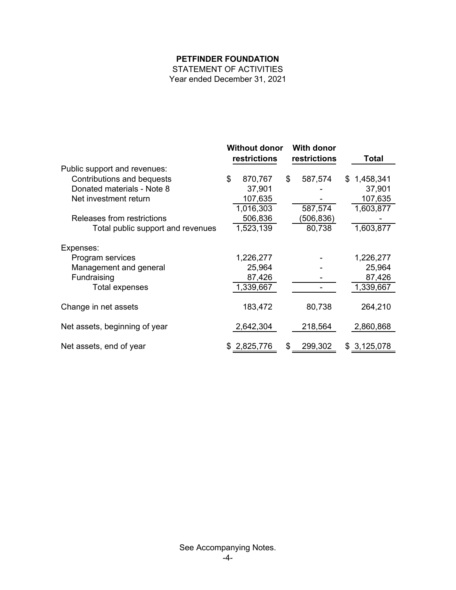STATEMENT OF ACTIVITIES Year ended December 31, 2021

|                                   | <b>Without donor</b><br>restrictions | <b>With donor</b><br>restrictions | <b>Total</b>    |
|-----------------------------------|--------------------------------------|-----------------------------------|-----------------|
| Public support and revenues:      |                                      |                                   |                 |
| Contributions and bequests        | \$<br>870,767                        | \$<br>587,574                     | \$1,458,341     |
| Donated materials - Note 8        | 37,901                               |                                   | 37,901          |
| Net investment return             | 107,635                              |                                   | 107,635         |
|                                   | 1,016,303                            | 587,574                           | 1,603,877       |
| Releases from restrictions        | 506,836                              | (506, 836)                        |                 |
| Total public support and revenues | 1,523,139                            | 80,738                            | 1,603,877       |
| Expenses:                         |                                      |                                   |                 |
| Program services                  | 1,226,277                            |                                   | 1,226,277       |
| Management and general            | 25,964                               |                                   | 25,964          |
| Fundraising                       | 87,426                               |                                   | 87,426          |
| Total expenses                    | 1,339,667                            |                                   | 1,339,667       |
| Change in net assets              | 183,472                              | 80,738                            | 264,210         |
| Net assets, beginning of year     | 2,642,304                            | 218,564                           | 2,860,868       |
| Net assets, end of year           | 2,825,776<br>S                       | \$<br>299,302                     | 3,125,078<br>S. |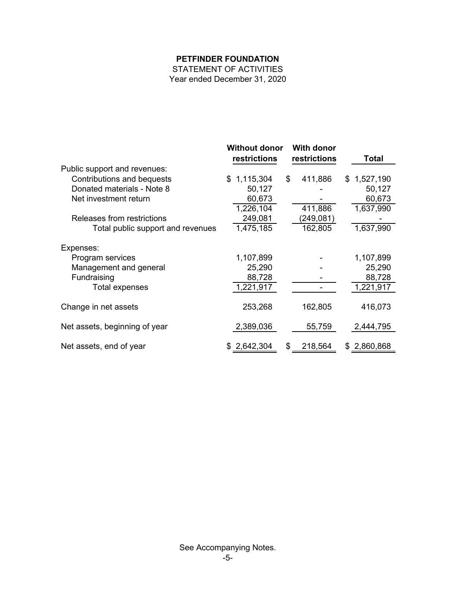STATEMENT OF ACTIVITIES Year ended December 31, 2020

|                                   | <b>Without donor</b><br>restrictions | <b>With donor</b><br>restrictions | Total           |
|-----------------------------------|--------------------------------------|-----------------------------------|-----------------|
| Public support and revenues:      |                                      |                                   |                 |
| Contributions and bequests        | 1,115,304<br>\$                      | 411,886<br>\$                     | \$1,527,190     |
| Donated materials - Note 8        | 50,127                               |                                   | 50,127          |
| Net investment return             | 60,673                               |                                   | 60,673          |
|                                   | 1,226,104                            | 411,886                           | 1,637,990       |
| Releases from restrictions        | 249,081                              | (249,081)                         |                 |
| Total public support and revenues | 1,475,185                            | 162,805                           | 1,637,990       |
| Expenses:                         |                                      |                                   |                 |
| Program services                  | 1,107,899                            |                                   | 1,107,899       |
| Management and general            | 25,290                               |                                   | 25,290          |
| Fundraising                       | 88,728                               |                                   | 88,728          |
| Total expenses                    | 1,221,917                            |                                   | 1,221,917       |
| Change in net assets              | 253,268                              | 162,805                           | 416,073         |
| Net assets, beginning of year     | 2,389,036                            | 55,759                            | 2,444,795       |
| Net assets, end of year           | 2,642,304<br>S                       | \$<br>218,564                     | 2,860,868<br>\$ |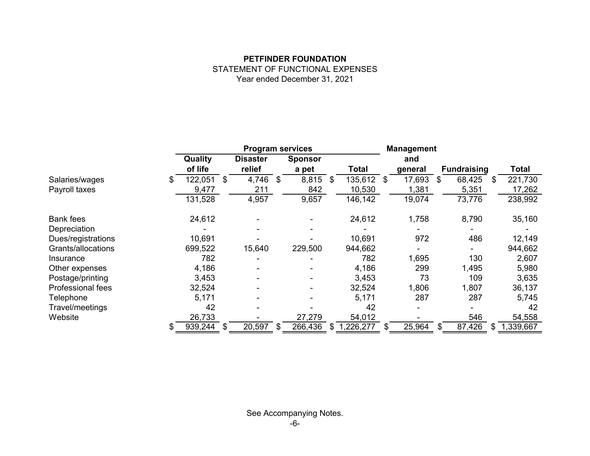## **PETFINDER FOUNDATION** STATEMENT OF FUNCTIONAL EXPENSES Year ended December 31, 2021

|                    |                     | <b>Program services</b> |                |                 | <b>Management</b> |                    |              |
|--------------------|---------------------|-------------------------|----------------|-----------------|-------------------|--------------------|--------------|
|                    | Quality             | <b>Disaster</b>         | <b>Sponsor</b> |                 | and               |                    |              |
|                    | of life             | relief                  | a pet          | Total           | general           | <b>Fundraising</b> | <b>Total</b> |
| Salaries/wages     | 122,051<br>\$<br>\$ | 4,746<br>\$             | 8,815          | 135,612<br>\$   | 17,693<br>\$      | 68,425<br>S        | 221,730      |
| Payroll taxes      | 9,477               | 211                     | 842            | 10,530          | 1,381             | 5,351              | 17,262       |
|                    | 131,528             | 4,957                   | 9,657          | 146,142         | 19,074            | 73,776             | 238,992      |
| <b>Bank fees</b>   | 24,612              |                         |                | 24,612          | 1,758             | 8,790              | 35,160       |
| Depreciation       |                     |                         |                |                 |                   |                    |              |
| Dues/registrations | 10,691              |                         |                | 10,691          | 972               | 486                | 12,149       |
| Grants/allocations | 699,522             | 15,640                  | 229,500        | 944,662         |                   |                    | 944,662      |
| Insurance          | 782                 |                         |                | 782             | 1,695             | 130                | 2,607        |
| Other expenses     | 4,186               |                         |                | 4,186           | 299               | 1,495              | 5,980        |
| Postage/printing   | 3,453               |                         |                | 3,453           | 73                | 109                | 3,635        |
| Professional fees  | 32,524              |                         |                | 32,524          | 1,806             | 1,807              | 36,137       |
| Telephone          | 5,171               |                         |                | 5,171           | 287               | 287                | 5,745        |
| Travel/meetings    | 42                  |                         |                | 42              |                   |                    | 42           |
| Website            | 26,733              |                         | 27,279         | 54,012          |                   | 546                | 54,558       |
|                    | 939,244<br>\$<br>S  | 20,597<br>\$            | 266,436        | 1,226,277<br>\$ | 25,964            | 87,426<br>\$       | 1,339,667    |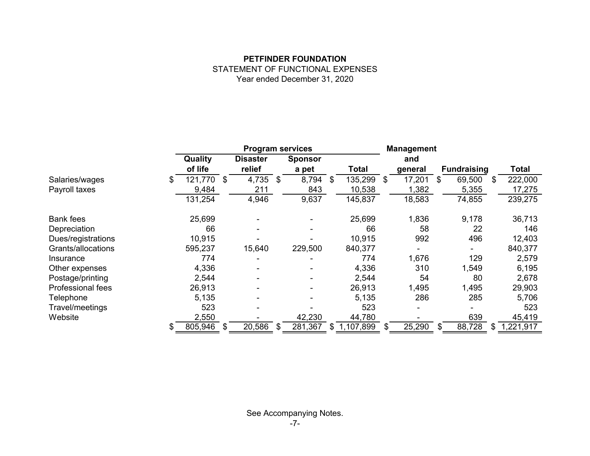## **PETFINDER FOUNDATION** STATEMENT OF FUNCTIONAL EXPENSES Year ended December 31, 2020

|                          |                     | <b>Program services</b> |                |                 | <b>Management</b> |         |   |                    |     |              |
|--------------------------|---------------------|-------------------------|----------------|-----------------|-------------------|---------|---|--------------------|-----|--------------|
|                          | Quality             | <b>Disaster</b>         | <b>Sponsor</b> |                 |                   | and     |   |                    |     |              |
|                          | of life             | relief                  | a pet          | Total           |                   | general |   | <b>Fundraising</b> |     | <b>Total</b> |
| Salaries/wages           | 121,770 \$<br>\$    | 4,735<br>\$             | 8,794          | \$<br>135,299   | \$                | 17,201  | S | 69,500             | S.  | 222,000      |
| Payroll taxes            | 9,484               | 211                     | 843            | 10,538          |                   | 1,382   |   | 5,355              |     | 17,275       |
|                          | 131,254             | 4,946                   | 9,637          | 145,837         |                   | 18,583  |   | 74,855             |     | 239,275      |
| <b>Bank fees</b>         | 25,699              |                         |                | 25,699          |                   | 1,836   |   | 9,178              |     | 36,713       |
| Depreciation             | 66                  |                         |                | 66              |                   | 58      |   | 22                 |     | 146          |
| Dues/registrations       | 10,915              |                         |                | 10,915          |                   | 992     |   | 496                |     | 12,403       |
| Grants/allocations       | 595,237             | 15,640                  | 229,500        | 840,377         |                   |         |   |                    |     | 840,377      |
| Insurance                | 774                 |                         |                | 774             |                   | 1,676   |   | 129                |     | 2,579        |
| Other expenses           | 4,336               |                         |                | 4,336           |                   | 310     |   | 1,549              |     | 6,195        |
| Postage/printing         | 2,544               |                         |                | 2,544           |                   | 54      |   | 80                 |     | 2,678        |
| <b>Professional fees</b> | 26,913              |                         |                | 26,913          |                   | 1,495   |   | 1,495              |     | 29,903       |
| Telephone                | 5,135               |                         |                | 5,135           |                   | 286     |   | 285                |     | 5,706        |
| Travel/meetings          | 523                 |                         |                | 523             |                   |         |   |                    |     | 523          |
| Website                  | 2,550               |                         | 42,230         | 44,780          |                   |         |   | 639                |     | 45,419       |
|                          | 805,946<br>\$<br>\$ | 20,586<br>\$            | 281,367        | \$<br>1,107,899 |                   | 25,290  | S | 88,728             | \$. | 1,221,917    |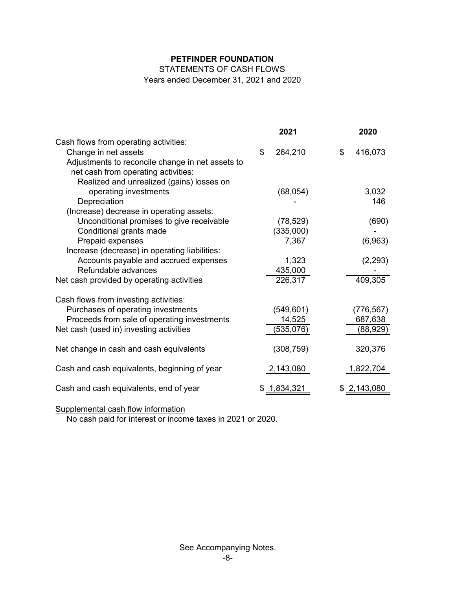## STATEMENTS OF CASH FLOWS

Years ended December 31, 2021 and 2020

|                                                  | 2021          | 2020          |
|--------------------------------------------------|---------------|---------------|
| Cash flows from operating activities:            |               |               |
| Change in net assets                             | \$<br>264,210 | \$<br>416,073 |
| Adjustments to reconcile change in net assets to |               |               |
| net cash from operating activities:              |               |               |
| Realized and unrealized (gains) losses on        |               |               |
| operating investments                            | (68, 054)     | 3,032         |
| Depreciation                                     |               | 146           |
| (Increase) decrease in operating assets:         |               |               |
| Unconditional promises to give receivable        | (78, 529)     | (690)         |
| Conditional grants made                          | (335,000)     |               |
| Prepaid expenses                                 | 7,367         | (6,963)       |
| Increase (decrease) in operating liabilities:    |               |               |
| Accounts payable and accrued expenses            | 1,323         | (2, 293)      |
| Refundable advances                              | 435,000       |               |
| Net cash provided by operating activities        | 226,317       | 409,305       |
|                                                  |               |               |
| Cash flows from investing activities:            |               |               |
| Purchases of operating investments               | (549, 601)    | (776, 567)    |
| Proceeds from sale of operating investments      | 14,525        | 687,638       |
| Net cash (used in) investing activities          | (535,076)     | (88, 929)     |
| Net change in cash and cash equivalents          | (308, 759)    | 320,376       |
|                                                  |               |               |
| Cash and cash equivalents, beginning of year     | 2,143,080     | 1,822,704     |
|                                                  | \$1,834,321   |               |
| Cash and cash equivalents, end of year           |               | \$2,143,080   |

## Supplemental cash flow information

No cash paid for interest or income taxes in 2021 or 2020.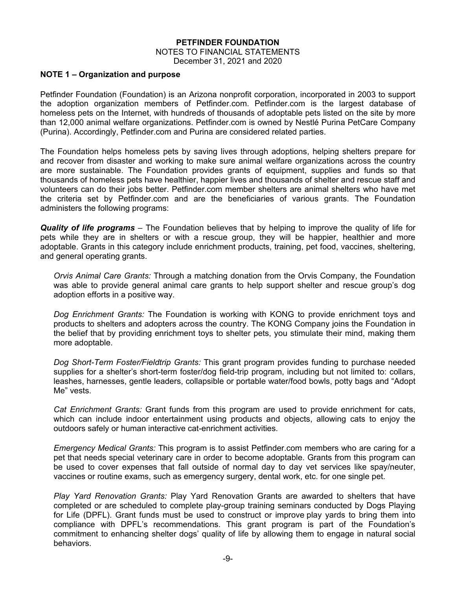#### **NOTE 1 – Organization and purpose**

Petfinder Foundation (Foundation) is an Arizona nonprofit corporation, incorporated in 2003 to support the adoption organization members of Petfinder.com. Petfinder.com is the largest database of homeless pets on the Internet, with hundreds of thousands of adoptable pets listed on the site by more than 12,000 animal welfare organizations. Petfinder.com is owned by Nestlé Purina PetCare Company (Purina). Accordingly, Petfinder.com and Purina are considered related parties.

The Foundation helps homeless pets by saving lives through adoptions, helping shelters prepare for and recover from disaster and working to make sure animal welfare organizations across the country are more sustainable. The Foundation provides grants of equipment, supplies and funds so that thousands of homeless pets have healthier, happier lives and thousands of shelter and rescue staff and volunteers can do their jobs better. Petfinder.com member shelters are animal shelters who have met the criteria set by Petfinder.com and are the beneficiaries of various grants. The Foundation administers the following programs:

*Quality of life programs* – The Foundation believes that by helping to improve the quality of life for pets while they are in shelters or with a rescue group, they will be happier, healthier and more adoptable. Grants in this category include enrichment products, training, pet food, vaccines, sheltering, and general operating grants.

*Orvis Animal Care Grants:* Through a matching donation from the Orvis Company, the Foundation was able to provide general animal care grants to help support shelter and rescue group's dog adoption efforts in a positive way.

*Dog Enrichment Grants:* The Foundation is working with KONG to provide enrichment toys and products to shelters and adopters across the country. The KONG Company joins the Foundation in the belief that by providing enrichment toys to shelter pets, you stimulate their mind, making them more adoptable.

*Dog Short-Term Foster/Fieldtrip Grants:* This grant program provides funding to purchase needed supplies for a shelter's short-term foster/dog field-trip program, including but not limited to: collars, leashes, harnesses, gentle leaders, collapsible or portable water/food bowls, potty bags and "Adopt Me" vests.

*Cat Enrichment Grants:* Grant funds from this program are used to provide enrichment for cats, which can include indoor entertainment using products and objects, allowing cats to enjoy the outdoors safely or human interactive cat-enrichment activities.

*Emergency Medical Grants:* This program is to assist Petfinder.com members who are caring for a pet that needs special veterinary care in order to become adoptable. Grants from this program can be used to cover expenses that fall outside of normal day to day vet services like spay/neuter, vaccines or routine exams, such as emergency surgery, dental work, etc. for one single pet.

*Play Yard Renovation Grants:* Play Yard Renovation Grants are awarded to shelters that have completed or are scheduled to complete play-group training seminars conducted by Dogs Playing for Life (DPFL). Grant funds must be used to construct or improve play yards to bring them into compliance with DPFL's recommendations. This grant program is part of the Foundation's commitment to enhancing shelter dogs' quality of life by allowing them to engage in natural social behaviors.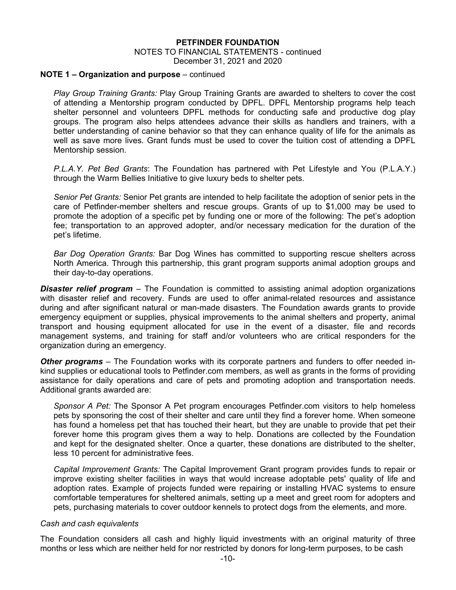#### **NOTE 1 – Organization and purpose** – continued

*Play Group Training Grants:* Play Group Training Grants are awarded to shelters to cover the cost of attending a Mentorship program conducted by DPFL. DPFL Mentorship programs help teach shelter personnel and volunteers DPFL methods for conducting safe and productive dog play groups. The program also helps attendees advance their skills as handlers and trainers, with a better understanding of canine behavior so that they can enhance quality of life for the animals as well as save more lives. Grant funds must be used to cover the tuition cost of attending a DPFL Mentorship session.

*P.L.A.Y. Pet Bed Grants*: The Foundation has partnered with Pet Lifestyle and You (P.L.A.Y.) through the Warm Bellies Initiative to give luxury beds to shelter pets.

*Senior Pet Grants:* Senior Pet grants are intended to help facilitate the adoption of senior pets in the care of Petfinder-member shelters and rescue groups. Grants of up to \$1,000 may be used to promote the adoption of a specific pet by funding one or more of the following: The pet's adoption fee; transportation to an approved adopter, and/or necessary medication for the duration of the pet's lifetime.

*Bar Dog Operation Grants:* Bar Dog Wines has committed to supporting rescue shelters across North America. Through this partnership, this grant program supports animal adoption groups and their day-to-day operations.

*Disaster relief program* – The Foundation is committed to assisting animal adoption organizations with disaster relief and recovery. Funds are used to offer animal-related resources and assistance during and after significant natural or man-made disasters. The Foundation awards grants to provide emergency equipment or supplies, physical improvements to the animal shelters and property, animal transport and housing equipment allocated for use in the event of a disaster, file and records management systems, and training for staff and/or volunteers who are critical responders for the organization during an emergency.

*Other programs* – The Foundation works with its corporate partners and funders to offer needed inkind supplies or educational tools to Petfinder.com members, as well as grants in the forms of providing assistance for daily operations and care of pets and promoting adoption and transportation needs. Additional grants awarded are:

*Sponsor A Pet:* The Sponsor A Pet program encourages Petfinder.com visitors to help homeless pets by sponsoring the cost of their shelter and care until they find a forever home. When someone has found a homeless pet that has touched their heart, but they are unable to provide that pet their forever home this program gives them a way to help. Donations are collected by the Foundation and kept for the designated shelter. Once a quarter, these donations are distributed to the shelter, less 10 percent for administrative fees.

*Capital Improvement Grants:* The Capital Improvement Grant program provides funds to repair or improve existing shelter facilities in ways that would increase adoptable pets' quality of life and adoption rates. Example of projects funded were repairing or installing HVAC systems to ensure comfortable temperatures for sheltered animals, setting up a meet and greet room for adopters and pets, purchasing materials to cover outdoor kennels to protect dogs from the elements, and more.

#### *Cash and cash equivalents*

The Foundation considers all cash and highly liquid investments with an original maturity of three months or less which are neither held for nor restricted by donors for long-term purposes, to be cash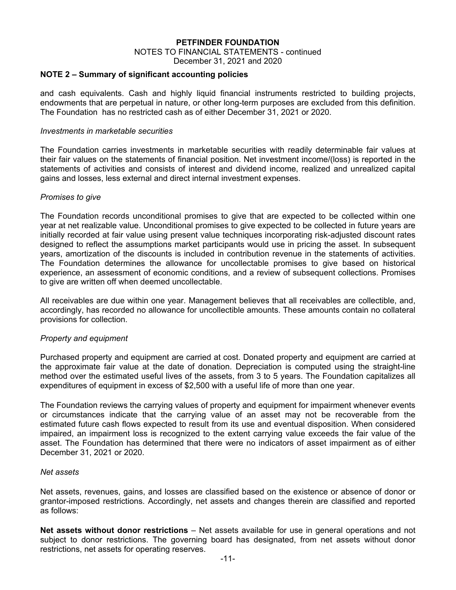#### **NOTE 2 – Summary of significant accounting policies**

and cash equivalents. Cash and highly liquid financial instruments restricted to building projects, endowments that are perpetual in nature, or other long-term purposes are excluded from this definition. The Foundation has no restricted cash as of either December 31, 2021 or 2020.

#### *Investments in marketable securities*

The Foundation carries investments in marketable securities with readily determinable fair values at their fair values on the statements of financial position. Net investment income/(loss) is reported in the statements of activities and consists of interest and dividend income, realized and unrealized capital gains and losses, less external and direct internal investment expenses.

#### *Promises to give*

The Foundation records unconditional promises to give that are expected to be collected within one year at net realizable value. Unconditional promises to give expected to be collected in future years are initially recorded at fair value using present value techniques incorporating risk-adjusted discount rates designed to reflect the assumptions market participants would use in pricing the asset. In subsequent years, amortization of the discounts is included in contribution revenue in the statements of activities. The Foundation determines the allowance for uncollectable promises to give based on historical experience, an assessment of economic conditions, and a review of subsequent collections. Promises to give are written off when deemed uncollectable.

All receivables are due within one year. Management believes that all receivables are collectible, and, accordingly, has recorded no allowance for uncollectible amounts. These amounts contain no collateral provisions for collection.

#### *Property and equipment*

Purchased property and equipment are carried at cost. Donated property and equipment are carried at the approximate fair value at the date of donation. Depreciation is computed using the straight-line method over the estimated useful lives of the assets, from 3 to 5 years. The Foundation capitalizes all expenditures of equipment in excess of \$2,500 with a useful life of more than one year.

The Foundation reviews the carrying values of property and equipment for impairment whenever events or circumstances indicate that the carrying value of an asset may not be recoverable from the estimated future cash flows expected to result from its use and eventual disposition. When considered impaired, an impairment loss is recognized to the extent carrying value exceeds the fair value of the asset. The Foundation has determined that there were no indicators of asset impairment as of either December 31, 2021 or 2020.

#### *Net assets*

Net assets, revenues, gains, and losses are classified based on the existence or absence of donor or grantor-imposed restrictions. Accordingly, net assets and changes therein are classified and reported as follows:

**Net assets without donor restrictions** – Net assets available for use in general operations and not subject to donor restrictions. The governing board has designated, from net assets without donor restrictions, net assets for operating reserves.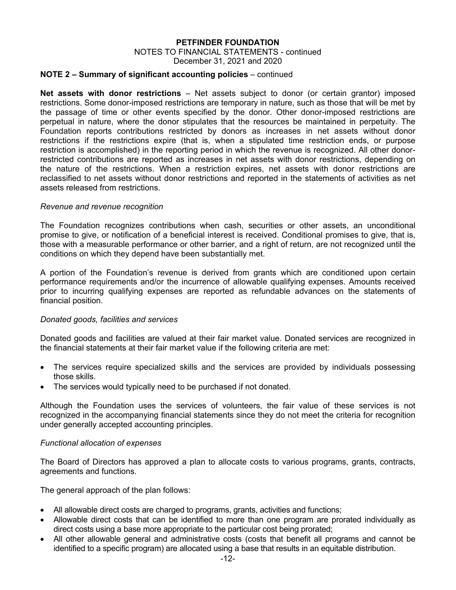#### **NOTE 2 – Summary of significant accounting policies** – continued

**Net assets with donor restrictions** – Net assets subject to donor (or certain grantor) imposed restrictions. Some donor-imposed restrictions are temporary in nature, such as those that will be met by the passage of time or other events specified by the donor. Other donor-imposed restrictions are perpetual in nature, where the donor stipulates that the resources be maintained in perpetuity. The Foundation reports contributions restricted by donors as increases in net assets without donor restrictions if the restrictions expire (that is, when a stipulated time restriction ends, or purpose restriction is accomplished) in the reporting period in which the revenue is recognized. All other donorrestricted contributions are reported as increases in net assets with donor restrictions, depending on the nature of the restrictions. When a restriction expires, net assets with donor restrictions are reclassified to net assets without donor restrictions and reported in the statements of activities as net assets released from restrictions.

#### *Revenue and revenue recognition*

The Foundation recognizes contributions when cash, securities or other assets, an unconditional promise to give, or notification of a beneficial interest is received. Conditional promises to give, that is, those with a measurable performance or other barrier, and a right of return, are not recognized until the conditions on which they depend have been substantially met.

A portion of the Foundation's revenue is derived from grants which are conditioned upon certain performance requirements and/or the incurrence of allowable qualifying expenses. Amounts received prior to incurring qualifying expenses are reported as refundable advances on the statements of financial position.

#### *Donated goods, facilities and services*

Donated goods and facilities are valued at their fair market value. Donated services are recognized in the financial statements at their fair market value if the following criteria are met:

- The services require specialized skills and the services are provided by individuals possessing those skills.
- The services would typically need to be purchased if not donated.

Although the Foundation uses the services of volunteers, the fair value of these services is not recognized in the accompanying financial statements since they do not meet the criteria for recognition under generally accepted accounting principles.

#### *Functional allocation of expenses*

The Board of Directors has approved a plan to allocate costs to various programs, grants, contracts, agreements and functions.

The general approach of the plan follows:

- All allowable direct costs are charged to programs, grants, activities and functions;
- Allowable direct costs that can be identified to more than one program are prorated individually as direct costs using a base more appropriate to the particular cost being prorated;
- All other allowable general and administrative costs (costs that benefit all programs and cannot be identified to a specific program) are allocated using a base that results in an equitable distribution.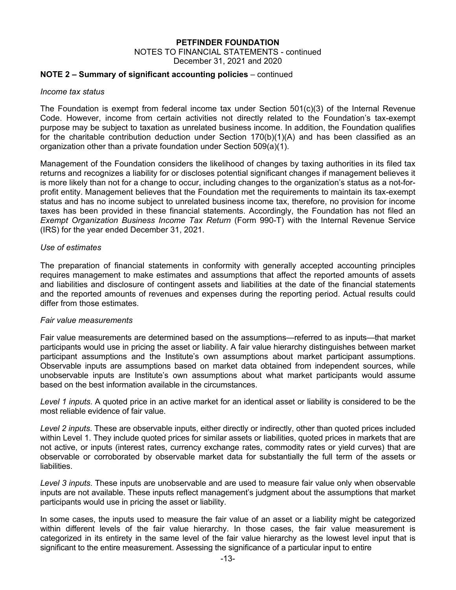#### **NOTE 2 – Summary of significant accounting policies** – continued

#### *Income tax status*

The Foundation is exempt from federal income tax under Section 501(c)(3) of the Internal Revenue Code. However, income from certain activities not directly related to the Foundation's tax-exempt purpose may be subject to taxation as unrelated business income. In addition, the Foundation qualifies for the charitable contribution deduction under Section 170(b)(1)(A) and has been classified as an organization other than a private foundation under Section 509(a)(1).

Management of the Foundation considers the likelihood of changes by taxing authorities in its filed tax returns and recognizes a liability for or discloses potential significant changes if management believes it is more likely than not for a change to occur, including changes to the organization's status as a not-forprofit entity. Management believes that the Foundation met the requirements to maintain its tax-exempt status and has no income subject to unrelated business income tax, therefore, no provision for income taxes has been provided in these financial statements. Accordingly, the Foundation has not filed an *Exempt Organization Business Income Tax Return* (Form 990-T) with the Internal Revenue Service (IRS) for the year ended December 31, 2021.

#### *Use of estimates*

The preparation of financial statements in conformity with generally accepted accounting principles requires management to make estimates and assumptions that affect the reported amounts of assets and liabilities and disclosure of contingent assets and liabilities at the date of the financial statements and the reported amounts of revenues and expenses during the reporting period. Actual results could differ from those estimates.

#### *Fair value measurements*

Fair value measurements are determined based on the assumptions—referred to as inputs—that market participants would use in pricing the asset or liability. A fair value hierarchy distinguishes between market participant assumptions and the Institute's own assumptions about market participant assumptions. Observable inputs are assumptions based on market data obtained from independent sources, while unobservable inputs are Institute's own assumptions about what market participants would assume based on the best information available in the circumstances.

*Level 1 inputs*. A quoted price in an active market for an identical asset or liability is considered to be the most reliable evidence of fair value.

*Level 2 inputs*. These are observable inputs, either directly or indirectly, other than quoted prices included within Level 1. They include quoted prices for similar assets or liabilities, quoted prices in markets that are not active, or inputs (interest rates, currency exchange rates, commodity rates or yield curves) that are observable or corroborated by observable market data for substantially the full term of the assets or liabilities.

*Level 3 inputs*. These inputs are unobservable and are used to measure fair value only when observable inputs are not available. These inputs reflect management's judgment about the assumptions that market participants would use in pricing the asset or liability.

In some cases, the inputs used to measure the fair value of an asset or a liability might be categorized within different levels of the fair value hierarchy. In those cases, the fair value measurement is categorized in its entirety in the same level of the fair value hierarchy as the lowest level input that is significant to the entire measurement. Assessing the significance of a particular input to entire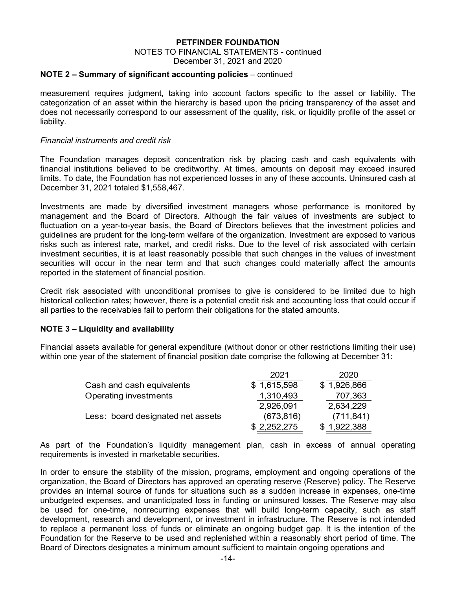#### NOTES TO FINANCIAL STATEMENTS - continued December 31, 2021 and 2020

#### **NOTE 2 – Summary of significant accounting policies** – continued

measurement requires judgment, taking into account factors specific to the asset or liability. The categorization of an asset within the hierarchy is based upon the pricing transparency of the asset and does not necessarily correspond to our assessment of the quality, risk, or liquidity profile of the asset or liability.

#### *Financial instruments and credit risk*

The Foundation manages deposit concentration risk by placing cash and cash equivalents with financial institutions believed to be creditworthy. At times, amounts on deposit may exceed insured limits. To date, the Foundation has not experienced losses in any of these accounts. Uninsured cash at December 31, 2021 totaled \$1,558,467.

Investments are made by diversified investment managers whose performance is monitored by management and the Board of Directors. Although the fair values of investments are subject to fluctuation on a year-to-year basis, the Board of Directors believes that the investment policies and guidelines are prudent for the long-term welfare of the organization. Investment are exposed to various risks such as interest rate, market, and credit risks. Due to the level of risk associated with certain investment securities, it is at least reasonably possible that such changes in the values of investment securities will occur in the near term and that such changes could materially affect the amounts reported in the statement of financial position.

Credit risk associated with unconditional promises to give is considered to be limited due to high historical collection rates; however, there is a potential credit risk and accounting loss that could occur if all parties to the receivables fail to perform their obligations for the stated amounts.

#### **NOTE 3 – Liquidity and availability**

Financial assets available for general expenditure (without donor or other restrictions limiting their use) within one year of the statement of financial position date comprise the following at December 31:

|                                   | 2021        | 2020        |
|-----------------------------------|-------------|-------------|
| Cash and cash equivalents         | \$1,615,598 | \$1,926,866 |
| Operating investments             | 1,310,493   | 707,363     |
|                                   | 2,926,091   | 2,634,229   |
| Less: board designated net assets | (673, 816)  | (711, 841)  |
|                                   | \$2,252,275 | 1,922,388   |

As part of the Foundation's liquidity management plan, cash in excess of annual operating requirements is invested in marketable securities.

In order to ensure the stability of the mission, programs, employment and ongoing operations of the organization, the Board of Directors has approved an operating reserve (Reserve) policy. The Reserve provides an internal source of funds for situations such as a sudden increase in expenses, one-time unbudgeted expenses, and unanticipated loss in funding or uninsured losses. The Reserve may also be used for one-time, nonrecurring expenses that will build long-term capacity, such as staff development, research and development, or investment in infrastructure. The Reserve is not intended to replace a permanent loss of funds or eliminate an ongoing budget gap. It is the intention of the Foundation for the Reserve to be used and replenished within a reasonably short period of time. The Board of Directors designates a minimum amount sufficient to maintain ongoing operations and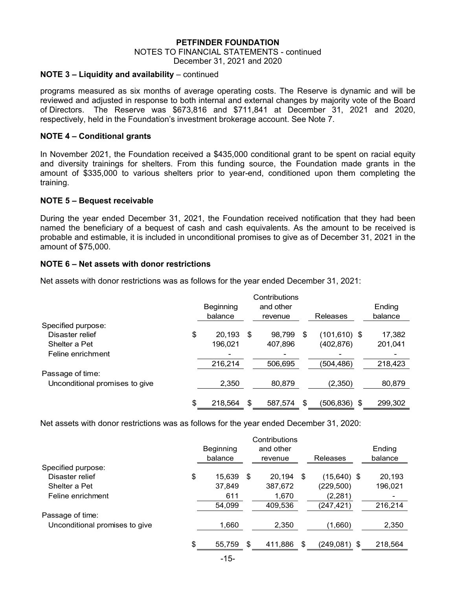#### **NOTE 3 – Liquidity and availability** – continued

programs measured as six months of average operating costs. The Reserve is dynamic and will be reviewed and adjusted in response to both internal and external changes by majority vote of the Board of Directors. The Reserve was \$673,816 and \$711,841 at December 31, 2021 and 2020, respectively, held in the Foundation's investment brokerage account. See Note 7.

#### **NOTE 4 – Conditional grants**

In November 2021, the Foundation received a \$435,000 conditional grant to be spent on racial equity and diversity trainings for shelters. From this funding source, the Foundation made grants in the amount of \$335,000 to various shelters prior to year-end, conditioned upon them completing the training.

#### **NOTE 5 – Bequest receivable**

During the year ended December 31, 2021, the Foundation received notification that they had been named the beneficiary of a bequest of cash and cash equivalents. As the amount to be received is probable and estimable, it is included in unconditional promises to give as of December 31, 2021 in the amount of \$75,000.

#### **NOTE 6 – Net assets with donor restrictions**

Net assets with donor restrictions was as follows for the year ended December 31, 2021:

|                                |               |     | Contributions |     |                 |         |
|--------------------------------|---------------|-----|---------------|-----|-----------------|---------|
|                                | Beginning     |     | and other     |     |                 | Ending  |
|                                | balance       |     | revenue       |     | <b>Releases</b> | balance |
| Specified purpose:             |               |     |               |     |                 |         |
| Disaster relief                | \$<br>20,193  | -\$ | 98,799        | \$. | $(101, 610)$ \$ | 17,382  |
| Shelter a Pet                  | 196,021       |     | 407,896       |     | (402,876)       | 201,041 |
| Feline enrichment              |               |     |               |     |                 |         |
|                                | 216,214       |     | 506,695       |     | (504, 486)      | 218,423 |
| Passage of time:               |               |     |               |     |                 |         |
| Unconditional promises to give | 2,350         |     | 80,879        |     | (2,350)         | 80,879  |
|                                |               |     |               |     |                 |         |
|                                | \$<br>218,564 | \$  | 587,574       |     | (506,836)<br>-S | 299,302 |

Net assets with donor restrictions was as follows for the year ended December 31, 2020:

| Beginning<br>balance |        | and other<br>revenue |         | <b>Releases</b> | Ending<br>balance               |
|----------------------|--------|----------------------|---------|-----------------|---------------------------------|
|                      |        |                      |         |                 |                                 |
| \$<br>15,639         | \$     | 20,194               | S       |                 | 20,193                          |
| 37,849               |        | 387,672              |         | (229, 500)      | 196,021                         |
| 611                  |        | 1,670                |         | (2,281)         |                                 |
| 54,099               |        | 409,536              |         | (247, 421)      | 216,214                         |
|                      |        |                      |         |                 |                                 |
| 1,660                |        | 2.350                |         | (1,660)         | 2,350                           |
|                      | \$     |                      | \$      |                 | 218,564                         |
|                      | 55,759 |                      | 411,886 | Contributions   | $(15,640)$ \$<br>$(249,081)$ \$ |